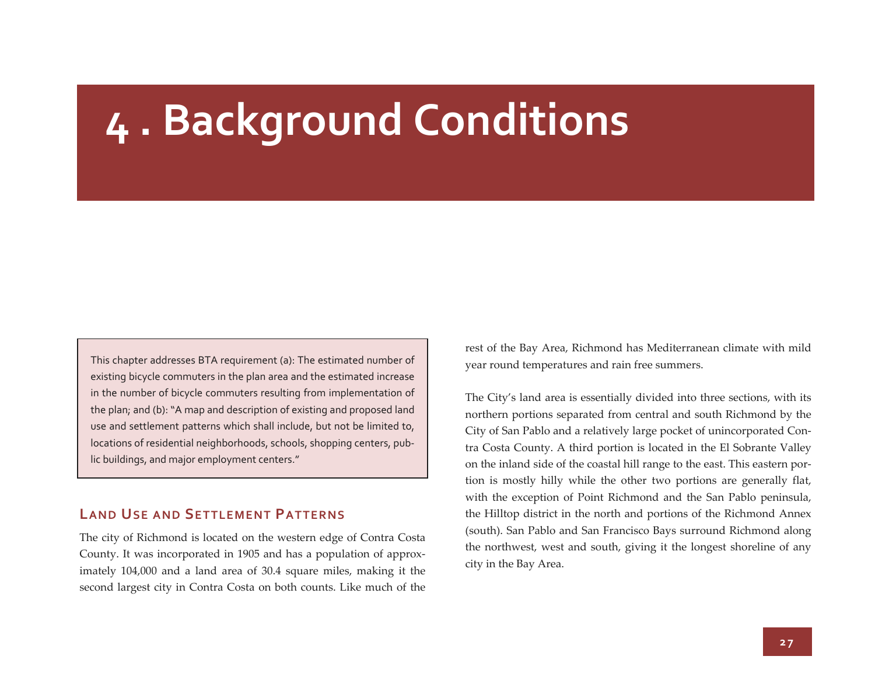# **<sup>4</sup> . Background Conditions**

This chapter addresses BTA requirement (a): The estimated number of existing bicycle commuters in the plan area and the estimated increase in the number of bicycle commuters resulting from implementation of the plan; and (b): "A map and description of existing and proposed land use and settlement patterns which shall include, but not be limited to, locations of residential neighborhoods, schools, shopping centers, pub‐ lic buildings, and major employment centers."

## **LAND USE AND SETTLEMENT PATTERNS**

The city of Richmond is located on the western edge of Contra Costa County. It was incorporated in 1905 and has <sup>a</sup> population of approx‐ imately 104,000 and <sup>a</sup> land area of 30.4 square miles, making it the second largest city in Contra Costa on both counts. Like much of the

rest of the Bay Area, Richmond has Mediterranean climate with mild year round temperatures and rain free summers.

The City's land area is essentially divided into three sections, with its northern portions separated from central and south Richmond by the City of San Pablo and <sup>a</sup> relatively large pocket of unincorporated Con‐ tra Costa County. A third portion is located in the El Sobrante Valley on the inland side of the coastal hill range to the east. This eastern por‐ tion is mostly hilly while the other two portions are generally flat, with the exception of Point Richmond and the San Pablo peninsula, the Hilltop district in the north and portions of the Richmond Annex (south). San Pablo and San Francisco Bays surround Richmond along the northwest, west and south, giving it the longest shoreline of any city in the Bay Area.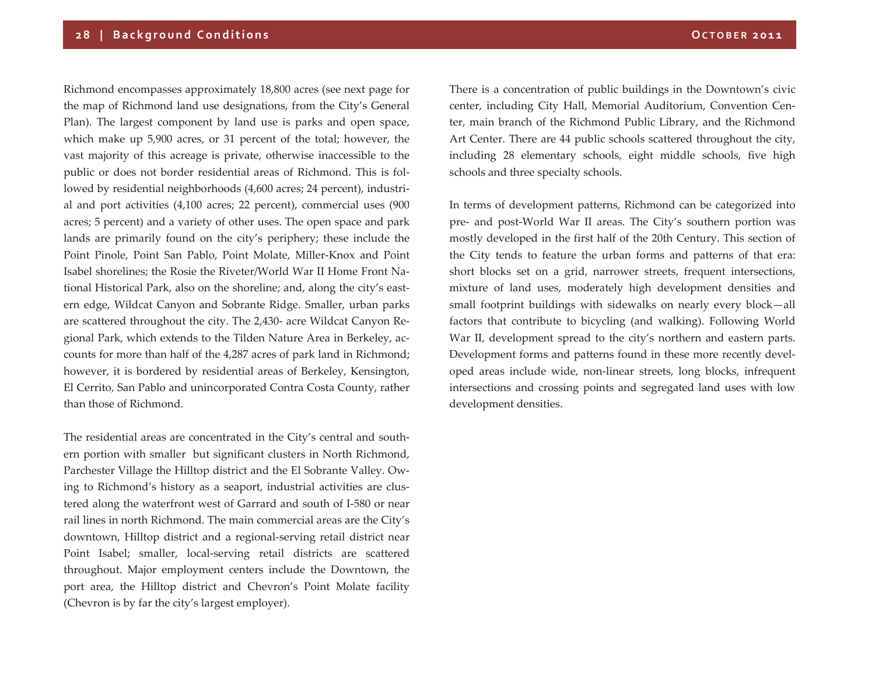Richmond encompasses approximately 18,800 acres (see next page for the map of Richmond land use designations, from the City's General Plan). The largest componen<sup>t</sup> by land use is parks and open space, which make up 5,900 acres, or 31 percen<sup>t</sup> of the total; however, the vast majority of this acreage is private, otherwise inaccessible to the public or does not border residential areas of Richmond. This is fol‐ lowed by residential neighborhoods (4,600 acres; <sup>24</sup> percent), industri‐ al and por<sup>t</sup> activities (4,100 acres; <sup>22</sup> percent), commercial uses (900 acres; <sup>5</sup> percent) and <sup>a</sup> variety of other uses. The open space and park lands are primarily found on the city's periphery; these include the Point Pinole, Point San Pablo, Point Molate, Miller‐Knox and Point Isabel shorelines; the Rosie the Riveter/World War II Home Front Na‐ tional Historical Park, also on the shoreline; and, along the city's east‐ ern edge, Wildcat Canyon and Sobrante Ridge. Smaller, urban parks are scattered throughout the city. The 2,430‐ acre Wildcat Canyon Re‐ gional Park, which extends to the Tilden Nature Area in Berkeley, accounts for more than half of the 4,287 acres of park land in Richmond; however, it is bordered by residential areas of Berkeley, Kensington, El Cerrito, San Pablo and unincorporated Contra Costa County, rather than those of Richmond.

The residential areas are concentrated in the City's central and south‐ ern portion with smaller but significant clusters in North Richmond, Parchester Village the Hilltop district and the El Sobrante Valley. Ow‐ ing to Richmond's history as a seaport, industrial activities are clustered along the waterfront west of Garrard and south of I‐580 or near rail lines in north Richmond. The main commercial areas are the City's downtown, Hilltop district and <sup>a</sup> regional‐serving retail district near Point Isabel; smaller, local‐serving retail districts are scattered throughout. Major employment centers include the Downtown, the por<sup>t</sup> area, the Hilltop district and Chevron's Point Molate facility (Chevron is by far the city's largest employer).

There is a concentration of public buildings in the Downtown's civic center, including City Hall, Memorial Auditorium, Convention Center, main branch of the Richmond Public Library, and the Richmond Art Center. There are 44 public schools scattered throughout the city, including <sup>28</sup> elementary schools, eight middle schools, five high schools and three specialty schools.

In terms of development patterns, Richmond can be categorized into pre‐ and post‐World War II areas. The City's southern portion was mostly developed in the first half of the 20th Century. This section of the City tends to feature the urban forms and patterns of that era: short blocks set on <sup>a</sup> grid, narrower streets, frequent intersections, mixture of land uses, moderately high development densities and small footprint buildings with sidewalks on nearly every block—all factors that contribute to bicycling (and walking). Following World War II, development spread to the city's northern and eastern parts. Development forms and patterns found in these more recently developed areas include wide, non‐linear streets, long blocks, infrequent intersections and crossing points and segregated land uses with low development densities.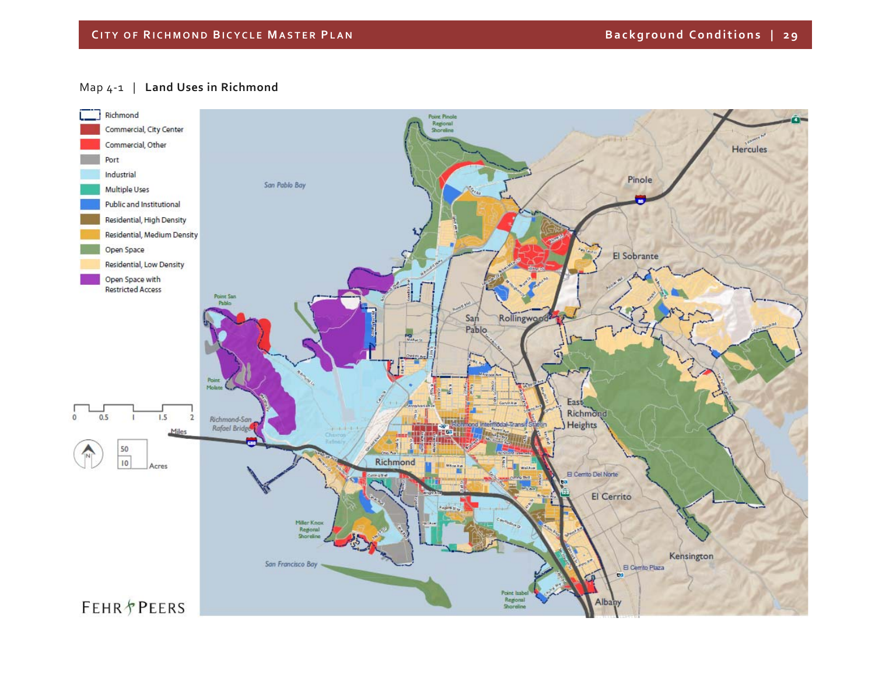## Map <sup>4</sup>‐<sup>1</sup> | **Land Uses in Richmond**

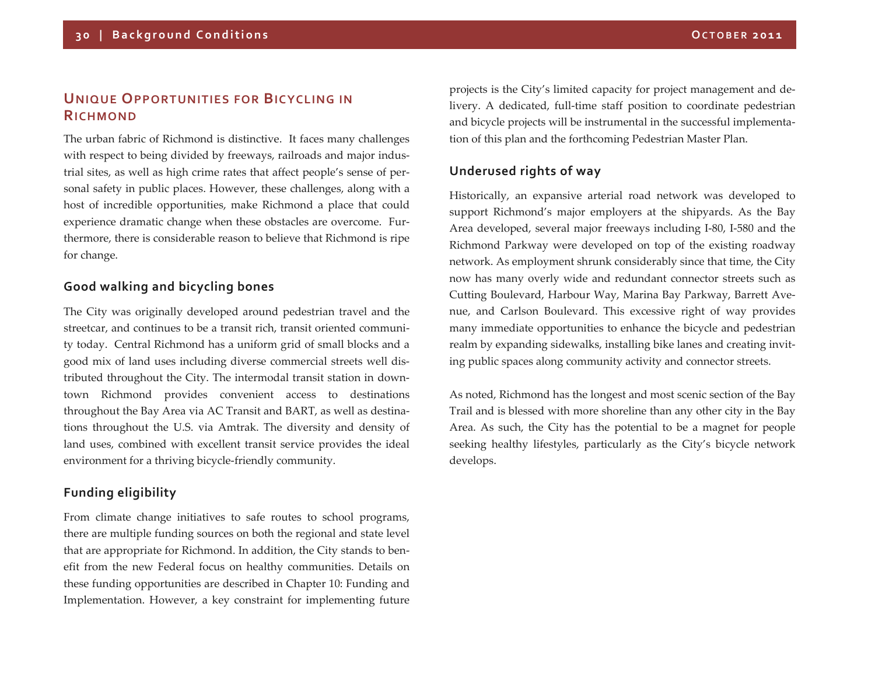# **UNIQUE OPPORTUNITIES FOR BICYCLING INRICHMOND**

The urban fabric of Richmond is distinctive. It faces many challenges with respec<sup>t</sup> to being divided by freeways, railroads and major indus‐ trial sites, as well as high crime rates that affect people's sense of per‐ sonal safety in public places. However, these challenges, along with <sup>a</sup> host of incredible opportunities, make Richmond <sup>a</sup> place that could experience dramatic change when these obstacles are overcome. Furthermore, there is considerable reason to believe that Richmond is ripe for change.

### **Good walking and bicycling bones**

The City was originally developed around pedestrian travel and the streetcar, and continues to be <sup>a</sup> transit rich, transit oriented communi‐ ty today. Central Richmond has <sup>a</sup> uniform grid of small blocks and <sup>a</sup> good mix of land uses including diverse commercial streets well dis‐ tributed throughout the City. The intermodal transit station in down‐ town Richmond provides convenient access to destinations throughout the Bay Area via AC Transit and BART, as well as destina‐ tions throughout the U.S. via Amtrak. The diversity and density of land uses, combined with excellent transit service provides the ideal environment for a thriving bicycle‐friendly community.

# **Funding eligibility**

From climate change initiatives to safe routes to school programs, there are multiple funding sources on both the regional and state level that are appropriate for Richmond. In addition, the City stands to ben‐ efit from the new Federal focus on healthy communities. Details on these funding opportunities are described in Chapter 10: Funding and Implementation. However, <sup>a</sup> key constraint for implementing future projects is the City's limited capacity for project managemen<sup>t</sup> and de‐ livery. A dedicated, full-time staff position to coordinate pedestrian and bicycle projects will be instrumental in the successful implementa‐ tion of this plan and the forthcoming Pedestrian Master Plan.

# **Underused rights of way**

Historically, an expansive arterial road network was developed to suppor<sup>t</sup> Richmond's major employers at the shipyards. As the Bay Area developed, several major freeways including I‐80, I‐580 and the Richmond Parkway were developed on top of the existing roadway network. As employment shrunk considerably since that time, the City now has many overly wide and redundant connector streets such as Cutting Boulevard, Harbour Way, Marina Bay Parkway, Barrett Ave‐ nue, and Carlson Boulevard. This excessive right of way provides many immediate opportunities to enhance the bicycle and pedestrian realm by expanding sidewalks, installing bike lanes and creating invit‐ ing public spaces along community activity and connector streets.

As noted, Richmond has the longest and most scenic section of the Bay Trail and is blessed with more shoreline than any other city in the Bay Area. As such, the City has the potential to be <sup>a</sup> magne<sup>t</sup> for people seeking healthy lifestyles, particularly as the City's bicycle network develops.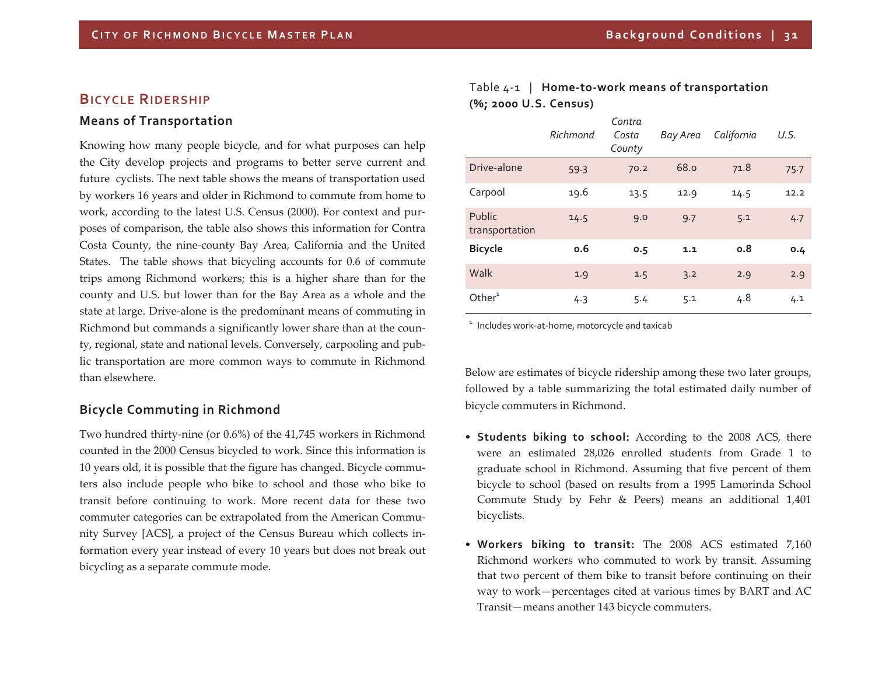### **BICYCLE RIDERSHIP**

#### **Means of Transportation**

Knowing how many people bicycle, and for what purposes can help the City develop projects and programs to better serve current and future cyclists. The next table shows the means of transportation used by workers 16 years and older in Richmond to commute from home to work, according to the latest U.S. Census (2000). For context and purposes of comparison, the table also shows this information for Contra Costa County, the nine‐county Bay Area, California and the United States. The table shows that bicycling accounts for 0.6 of commute trips among Richmond workers; this is <sup>a</sup> higher share than for the county and U.S. but lower than for the Bay Area as <sup>a</sup> whole and the state at large. Drive‐alone is the predominant means of commuting in Richmond but commands <sup>a</sup> significantly lower share than at the coun‐ ty, regional, state and national levels. Conversely, carpooling and pub‐ lic transportation are more common ways to commute in Richmond than elsewhere.

#### **Bicycle Commuting in Richmond**

Two hundred thirty‐nine (or 0.6%) of the 41,745 workers in Richmond counted in the 2000 Census bicycled to work. Since this information is 10 years old, it is possible that the figure has changed. Bicycle commu‐ ters also include people who bike to school and those who bike to transit before continuing to work. More recent data for these two commuter categories can be extrapolated from the American Commu‐ nity Survey [ACS], <sup>a</sup> project of the Census Bureau which collects in‐ formation every year instead of every 10 years but does not break out bicycling as <sup>a</sup> separate commute mode.

## Table <sup>4</sup>‐<sup>1</sup> | **Home‐to‐work means of transportation (%; <sup>2000</sup> U.S. Census)**

|                          | Richmond | Contra<br>Costa<br>County | Bay Area | California | U.S. |
|--------------------------|----------|---------------------------|----------|------------|------|
| Drive-alone              | 59.3     | 70.2                      | 68.0     | 71.8       | 75.7 |
| Carpool                  | 19.6     | 13.5                      | 12.9     | 14.5       | 12.2 |
| Public<br>transportation | 14.5     | 9.0                       | 9.7      | 5.1        | 4.7  |
| <b>Bicycle</b>           | 0.6      | 0.5                       | 1.1      | 0.8        | 0.4  |
| Walk                     | 1.9      | 1.5                       | 3.2      | 2.9        | 2.9  |
| Other $1$                | 4.3      | 5.4                       | 5.1      | 4.8        | 4.1  |

 $1$  Includes work-at-home, motorcycle and taxicab

Below are estimates of bicycle ridership among these two later groups, followed by <sup>a</sup> table summarizing the total estimated daily number of bicycle commuters in Richmond.

- **Students biking to school:** According to the <sup>2008</sup> ACS, there were an estimated 28,026 enrolled students from Grade 1 to graduate school in Richmond. Assuming that five percen<sup>t</sup> of them bicycle to school (based on results from <sup>a</sup> 1995 Lamorinda School Commute Study by Fehr & Peers) means an additional 1,401 bicyclists.
- **Workers biking to transit:** The 2008 ACS estimated 7,160 Richmond workers who commuted to work by transit. Assuming that two percen<sup>t</sup> of them bike to transit before continuing on their way to work—percentages cited at various times by BART and AC Transit—means another 143 bicycle commuters.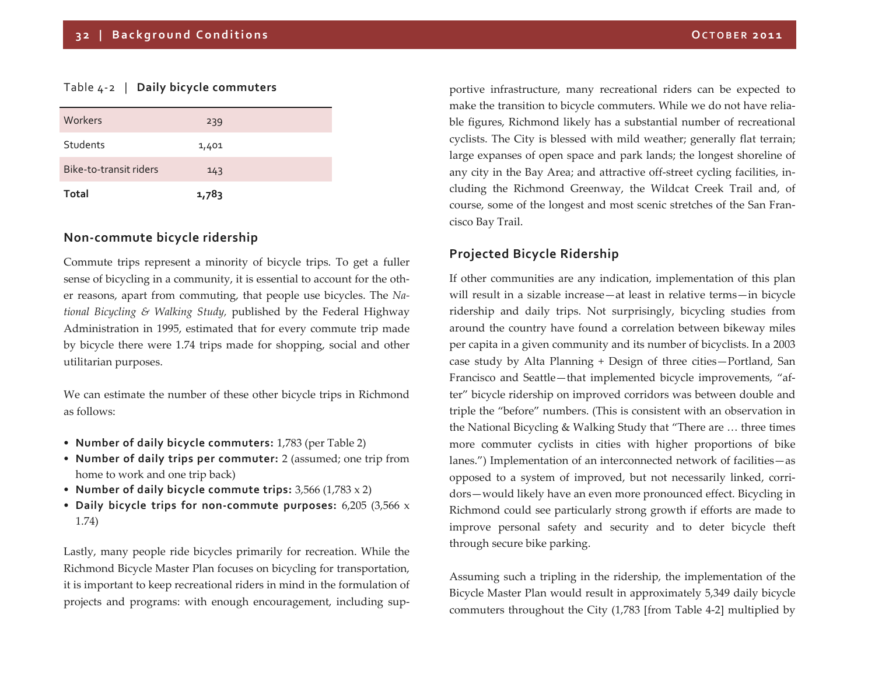#### Table <sup>4</sup>‐<sup>2</sup> | **Daily bicycle commuters**

| Workers                | 239   |  |
|------------------------|-------|--|
| Students               | 1,401 |  |
| Bike-to-transit riders | 143   |  |
| Total                  | 1,783 |  |

#### **Non‐commute bicycle ridership**

Commute trips represen<sup>t</sup> <sup>a</sup> minority of bicycle trips. To ge<sup>t</sup> <sup>a</sup> fuller sense of bicycling in <sup>a</sup> community, it is essential to account for the oth‐ er reasons, apar<sup>t</sup> from commuting, that people use bicycles. The *Na‐ tional Bicycling & Walking Study,* published by the Federal Highway Administration in 1995, estimated that for every commute trip made by bicycle there were 1.74 trips made for shopping, social and other utilitarian purposes.

We can estimate the number of these other bicycle trips in Richmond as follows:

- **Number of daily bicycle commuters:** 1,783 (per Table 2)
- **Number of daily trips per commuter:** <sup>2</sup> (assumed; one trip from home to work and one trip back)
- **Number of daily bicycle commute trips:** 3,566 (1,783 <sup>x</sup> 2)
- **Daily bicycle trips for non‐commute purposes:** 6,205 (3,566 <sup>x</sup> 1.74)

Lastly, many people ride bicycles primarily for recreation. While the Richmond Bicycle Master Plan focuses on bicycling for transportation, it is important to keep recreational riders in mind in the formulation of projects and programs: with enough encouragement, including sup‐

portive infrastructure, many recreational riders can be expected to make the transition to bicycle commuters. While we do not have relia‐ ble figures, Richmond likely has <sup>a</sup> substantial number of recreational cyclists. The City is blessed with mild weather; generally flat terrain; large expanses of open space and park lands; the longest shoreline of any city in the Bay Area; and attractive off-street cycling facilities, including the Richmond Greenway, the Wildcat Creek Trail and, of course, some of the longest and most scenic stretches of the San Francisco Bay Trail.

### **Projected Bicycle Ridership**

If other communities are any indication, implementation of this plan will result in <sup>a</sup> sizable increase—at least in relative terms—in bicycle ridership and daily trips. Not surprisingly, bicycling studies from around the country have found <sup>a</sup> correlation between bikeway miles per capita in <sup>a</sup> given community and its number of bicyclists. In <sup>a</sup> 2003 case study by Alta Planning <sup>+</sup> Design of three cities—Portland, San Francisco and Seattle—that implemented bicycle improvements, "af‐ ter" bicycle ridership on improved corridors was between double and triple the "before" numbers. (This is consistent with an observation in the National Bicycling & Walking Study that "There are … three times more commuter cyclists in cities with higher proportions of bike lanes.") Implementation of an interconnected network of facilities—as opposed to <sup>a</sup> system of improved, but not necessarily linked, corri‐ dors—would likely have an even more pronounced effect. Bicycling in Richmond could see particularly strong growth if efforts are made to improve personal safety and security and to deter bicycle theft through secure bike parking.

Assuming such <sup>a</sup> tripling in the ridership, the implementation of the Bicycle Master Plan would result in approximately 5,349 daily bicycle commuters throughout the City (1,783 [from Table <sup>4</sup>‐2] multiplied by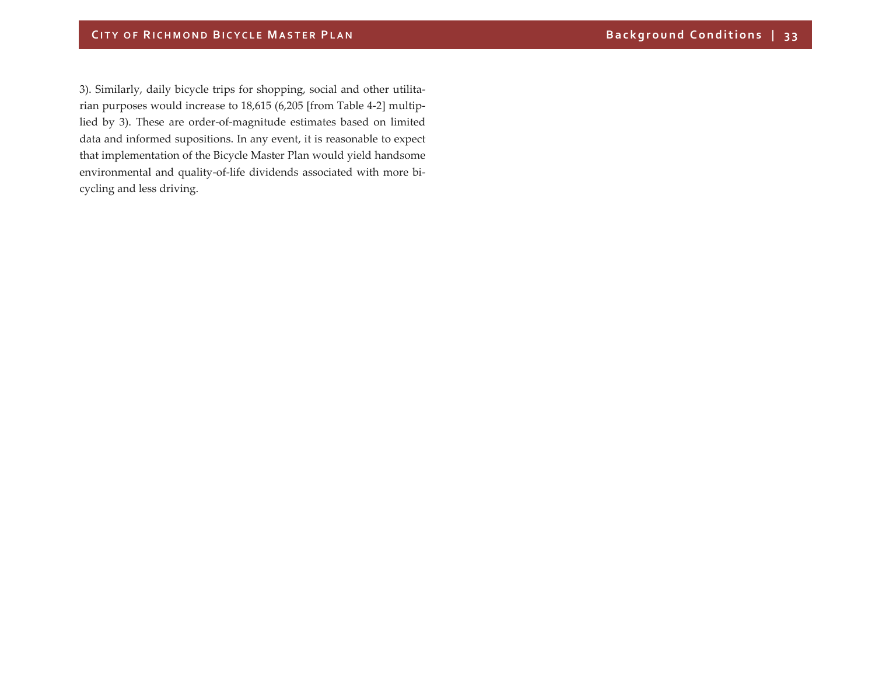3). Similarly, daily bicycle trips for shopping, social and other utilitarian purposes would increase to 18,615 (6,205 [from Table <sup>4</sup>‐2] multip‐ lied by 3). These are order‐of‐magnitude estimates based on limited data and informed supositions. In any event, it is reasonable to expec<sup>t</sup> that implementation of the Bicycle Master Plan would yield handsome environmental and quality‐of‐life dividends associated with more bi‐ cycling and less driving.